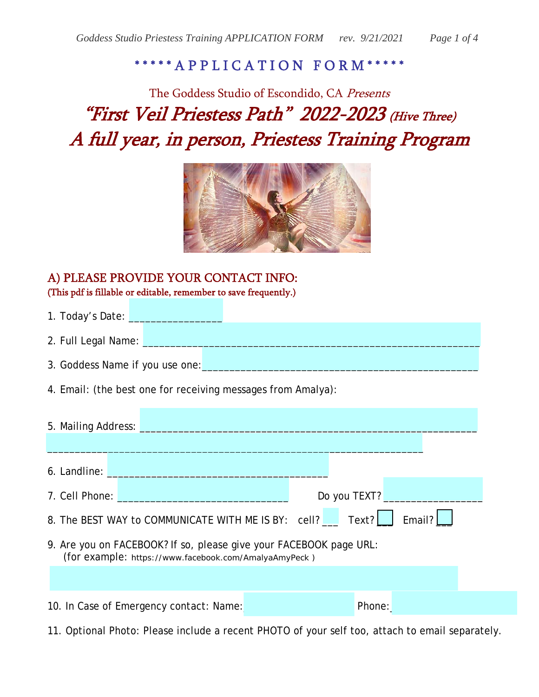## \*\*\*\*\*\* A P P L I C A T I O N F O R M \*

# The Goddess Studio of Escondido, CA Presents "First Veil Priestess Path" 2022-2023 (Hive Three) A full year, in person, Priestess Training Program



#### A) PLEASE PROVIDE YOUR CONTACT INFO: (This pdf is fillable or editable, remember to save frequently.)

- 1. Today's Date:
- 2. Full Legal Name:
- 3. Goddess Name if you use one:
- 4. Email: (the best one for receiving messages from Amalya):

| 5. Mailing Address:                                                                                                                                                                                          |              |  |  |
|--------------------------------------------------------------------------------------------------------------------------------------------------------------------------------------------------------------|--------------|--|--|
|                                                                                                                                                                                                              |              |  |  |
| <b>6.</b> Landline: <b>All and Service Control</b>                                                                                                                                                           |              |  |  |
| <b>7. Cell Phone: Contract Phone: Contract Phone: Contract Phone: Contract Phone: Contract Phone: Contract Phone: Contract Phone: Contract Phone: Contract Phone: Contract Phone: Contract Phone: Contra</b> | Do you TEXT? |  |  |
| 8. The BEST WAY to COMMUNICATE WITH ME IS BY: cell? Text?  <br>Email? $\lfloor$                                                                                                                              |              |  |  |
| 9. Are you on FACEBOOK? If so, please give your FACEBOOK page URL:<br>(for example: https://www.facebook.com/AmalyaAmyPeck)                                                                                  |              |  |  |
|                                                                                                                                                                                                              |              |  |  |
| 10. In Case of Emergency contact: Name:                                                                                                                                                                      | Phone:       |  |  |

11. Optional Photo: Please include a recent PHOTO of your self too, attach to email separately.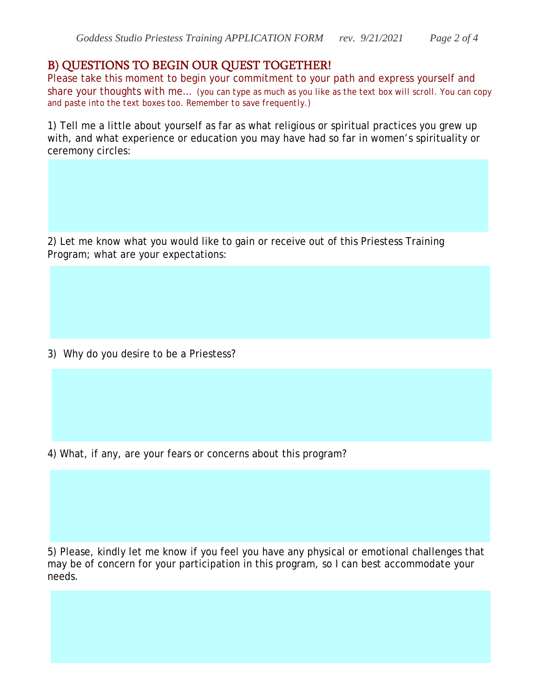#### B) QUESTIONS TO BEGIN OUR QUEST TOGETHER!

Please take this moment to begin your commitment to your path and express yourself and share your thoughts with me… *(you can type as much as you like as the text box will scroll. You can copy and paste into the text boxes too. Remember to save frequently.)*

1) Tell me a little about yourself as far as what religious or spiritual practices you grew up with, and what experience or education you may have had so far in women's spirituality or ceremony circles:

2) Let me know what you would like to gain or receive out of this Priestess Training Program; what are your expectations:

3) Why do you desire to be a Priestess?

4) What, if any, are your fears or concerns about this program?

5) Please, kindly let me know if you feel you have any physical or emotional challenges that may be of concern for your participation in this program, so I can best accommodate your needs.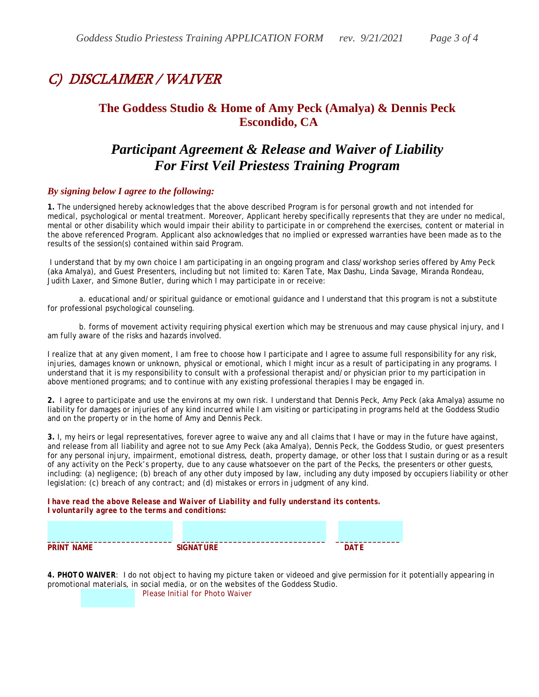## C) DISCLAIMER / WAIVER

#### **The Goddess Studio & Home of Amy Peck (Amalya) & Dennis Peck Escondido, CA**

### *Participant Agreement & Release and Waiver of Liability For First Veil Priestess Training Program*

#### *By signing below I agree to the following:*

**1.** The undersigned hereby acknowledges that the above described Program is for personal growth and not intended for medical, psychological or mental treatment. Moreover, Applicant hereby specifically represents that they are under no medical, mental or other disability which would impair their ability to participate in or comprehend the exercises, content or material in the above referenced Program. Applicant also acknowledges that no implied or expressed warranties have been made as to the results of the session(s) contained within said Program.

 I understand that by my own choice I am participating in an ongoing program and class/workshop series offered by Amy Peck (aka Amalya), and Guest Presenters, including but not limited to: Karen Tate, Max Dashu, Linda Savage, Miranda Rondeau, Judith Laxer, and Simone Butler, during which I may participate in or receive:

 a. educational and/or spiritual guidance or emotional guidance and I understand that this program is not a substitute for professional psychological counseling.

 b. forms of movement activity requiring physical exertion which may be strenuous and may cause physical injury, and I am fully aware of the risks and hazards involved.

I realize that at any given moment, I am free to choose how I participate and I agree to assume full responsibility for any risk, injuries, damages known or unknown, physical or emotional, which I might incur as a result of participating in any programs. I understand that it is my responsibility to consult with a professional therapist and/or physician prior to my participation in above mentioned programs; and to continue with any existing professional therapies I may be engaged in.

**2.** I agree to participate and use the environs at my own risk. I understand that Dennis Peck, Amy Peck (aka Amalya) assume no liability for damages or injuries of any kind incurred while I am visiting or participating in programs held at the Goddess Studio and on the property or in the home of Amy and Dennis Peck.

**3.** I, my heirs or legal representatives, forever agree to waive any and all claims that I have or may in the future have against, and release from all liability and agree not to sue Amy Peck (aka Amalya), Dennis Peck, the Goddess Studio, or guest presenters for any personal injury, impairment, emotional distress, death, property damage, or other loss that I sustain during or as a result of any activity on the Peck's property, due to any cause whatsoever on the part of the Pecks, the presenters or other guests, including: (a) negligence; (b) breach of any other duty imposed by law, including any duty imposed by occupiers liability or other legislation: (c) breach of any contract; and (d) mistakes or errors in judgment of any kind.

*I have read the above Release and Waiver of Liability and fully understand its contents. I voluntarily agree to the terms and conditions:* 

| <b>PRINT NAME</b> | <b>SIGNATURE</b> | <b>DATF</b> |
|-------------------|------------------|-------------|

*4. PHOTO WAIVER*: I do not object to having my picture taken or videoed and give permission for it potentially appearing in promotional materials, in social media, or on the websites of the Goddess Studio. \_\_\_\_\_\_\_\_\_\_\_\_\_ *Please Initial for Photo Waiver*